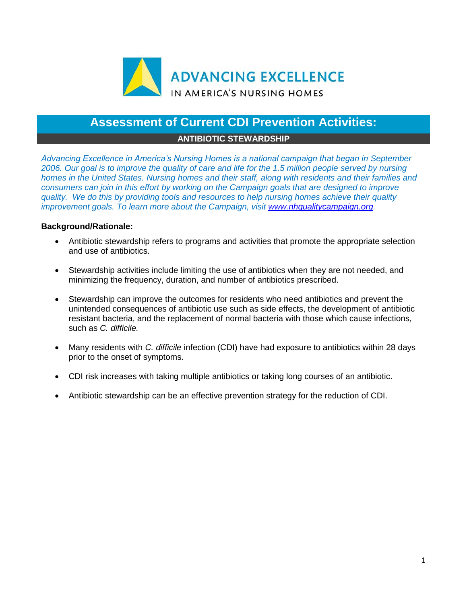

## **Assessment of Current CDI Prevention Activities:**

## **ANTIBIOTIC STEWARDSHIP**

*Advancing Excellence in America's Nursing Homes is a national campaign that began in September 2006. Our goal is to improve the quality of care and life for the 1.5 million people served by nursing homes in the United States. Nursing homes and their staff, along with residents and their families and consumers can join in this effort by working on the Campaign goals that are designed to improve quality. We do this by providing tools and resources to help nursing homes achieve their quality improvement goals. To learn more about the Campaign, visit [www.nhqualitycampaign.org.](https://www.nhqualitycampaign.org/)*

## **Background/Rationale:**

- Antibiotic stewardship refers to programs and activities that promote the appropriate selection and use of antibiotics.
- Stewardship activities include limiting the use of antibiotics when they are not needed, and minimizing the frequency, duration, and number of antibiotics prescribed.
- Stewardship can improve the outcomes for residents who need antibiotics and prevent the unintended consequences of antibiotic use such as side effects, the development of antibiotic resistant bacteria, and the replacement of normal bacteria with those which cause infections, such as *C. difficile.*
- Many residents with *C. difficile* infection (CDI) have had exposure to antibiotics within 28 days prior to the onset of symptoms.
- CDI risk increases with taking multiple antibiotics or taking long courses of an antibiotic.
- Antibiotic stewardship can be an effective prevention strategy for the reduction of CDI.